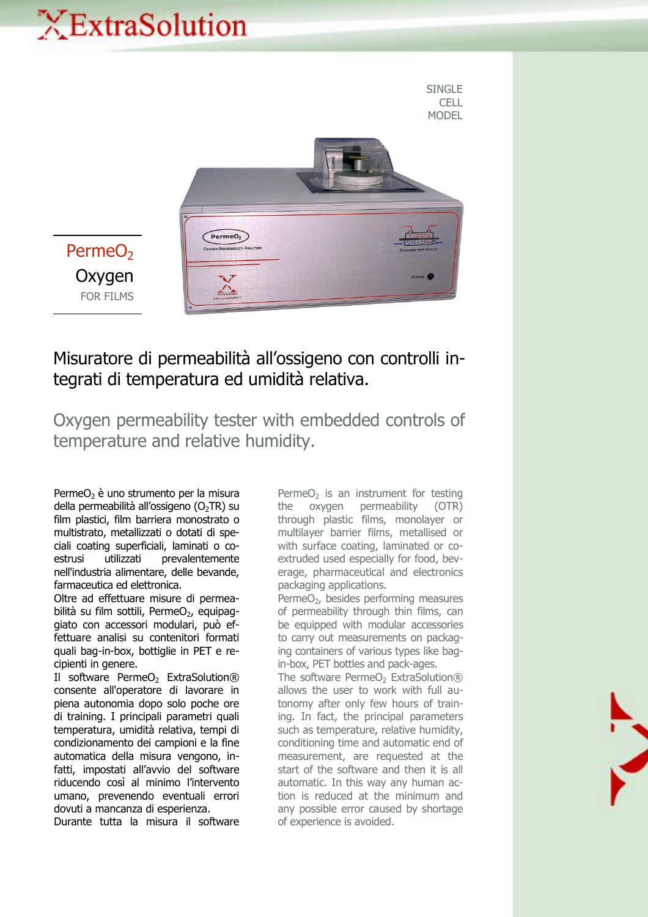## XExtraSolution



## Misuratore di permeabilità all'ossigeno con controlli integrati di temperatura ed umidità relativa.

Oxygen permeability tester with embedded controls of temperature and relative humidity.

Perme $O<sub>2</sub>$  è uno strumento per la misura della permeabilità all'ossigeno ( $O<sub>2</sub>TR$ ) su film plastici, film barriera monostrato o multistrato, metallizzati o dotati di speciali coating superficiali, laminati o coestrusi utilizzati prevalentemente nell'industria alimentare, delle bevande, farmaceutica ed elettronica.

Oltre ad effettuare misure di permeabilità su film sottili, PermeO<sub>2</sub>, equipaggiato con accessori modulari, può effettuare analisi su contenitori formati quali bag-in-box, bottiglie in PET e recipienti in genere.

Il software PermeO<sub>2</sub> ExtraSolution® consente all'operatore di lavorare in piena autonomia dopo solo poche ore di training. I principali parametri quali temperatura, umidità relativa, tempi di condizionamento dei campioni e la fine automatica della misura vengono, infatti, impostati all'avvio del software riducendo così al minimo l'intervento umano, prevenendo eventuali errori dovuti a mancanza di esperienza.

Durante tutta la misura il software

Perme $O<sub>2</sub>$  is an instrument for testing the oxygen permeability (OTR) through plastic films, monolayer or multilayer barrier films, metallised or with surface coating, laminated or coextruded used especially for food, beverage, pharmaceutical and electronics packaging applications.

Perme $O<sub>2</sub>$ , besides performing measures of permeability through thin films, can be equipped with modular accessories to carry out measurements on packaging containers of various types like bagin-box, PET bottles and pack-ages.

The software PermeO<sub>2</sub> ExtraSolution® allows the user to work with full autonomy after only few hours of training. In fact, the principal parameters such as temperature, relative humidity, conditioning time and automatic end of measurement, are requested at the start of the software and then it is all automatic. In this way any human action is reduced at the minimum and any possible error caused by shortage of experience is avoided.